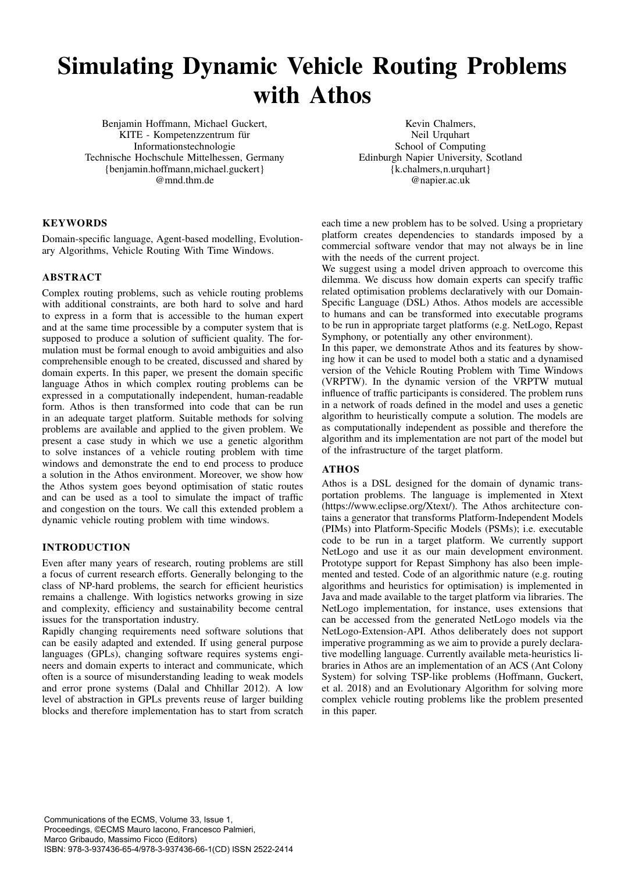# Simulating Dynamic Vehicle Routing Problems with Athos

Benjamin Hoffmann, Michael Guckert, Kevin Chalmers, KITE - Kompetenzzentrum für Meil Urquhart<br>
Informationstechnologie Meil Urquhart<br>
School of Computing Technische Hochschule Mittelhessen, Germany {benjamin.hoffmann,michael.guckert} <br>
@ mnd.thm.de <br>
@ mnd.thm.de <br>
@ napier.ac.uk

Informationstechnologie School of Computing<br>
Hochschule Mittelhessen, Germany Edinburgh Napier University, Scotland @napier.ac.uk

## **KEYWORDS**

Domain-specific language, Agent-based modelling, Evolutionary Algorithms, Vehicle Routing With Time Windows.

## ABSTRACT

Complex routing problems, such as vehicle routing problems with additional constraints, are both hard to solve and hard to express in a form that is accessible to the human expert and at the same time processible by a computer system that is supposed to produce a solution of sufficient quality. The formulation must be formal enough to avoid ambiguities and also comprehensible enough to be created, discussed and shared by domain experts. In this paper, we present the domain specific language Athos in which complex routing problems can be expressed in a computationally independent, human-readable form. Athos is then transformed into code that can be run in an adequate target platform. Suitable methods for solving problems are available and applied to the given problem. We present a case study in which we use a genetic algorithm to solve instances of a vehicle routing problem with time windows and demonstrate the end to end process to produce a solution in the Athos environment. Moreover, we show how the Athos system goes beyond optimisation of static routes and can be used as a tool to simulate the impact of traffic and congestion on the tours. We call this extended problem a dynamic vehicle routing problem with time windows.

#### INTRODUCTION

Even after many years of research, routing problems are still a focus of current research efforts. Generally belonging to the class of NP-hard problems, the search for efficient heuristics remains a challenge. With logistics networks growing in size and complexity, efficiency and sustainability become central issues for the transportation industry.

Rapidly changing requirements need software solutions that can be easily adapted and extended. If using general purpose languages (GPLs), changing software requires systems engineers and domain experts to interact and communicate, which often is a source of misunderstanding leading to weak models and error prone systems (Dalal and Chhillar 2012). A low level of abstraction in GPLs prevents reuse of larger building blocks and therefore implementation has to start from scratch each time a new problem has to be solved. Using a proprietary platform creates dependencies to standards imposed by a commercial software vendor that may not always be in line with the needs of the current project.

We suggest using a model driven approach to overcome this dilemma. We discuss how domain experts can specify traffic related optimisation problems declaratively with our Domain-Specific Language (DSL) Athos. Athos models are accessible to humans and can be transformed into executable programs to be run in appropriate target platforms (e.g. NetLogo, Repast Symphony, or potentially any other environment).

In this paper, we demonstrate Athos and its features by showing how it can be used to model both a static and a dynamised version of the Vehicle Routing Problem with Time Windows (VRPTW). In the dynamic version of the VRPTW mutual influence of traffic participants is considered. The problem runs in a network of roads defined in the model and uses a genetic algorithm to heuristically compute a solution. The models are as computationally independent as possible and therefore the algorithm and its implementation are not part of the model but of the infrastructure of the target platform.

## ATHOS

Athos is a DSL designed for the domain of dynamic transportation problems. The language is implemented in Xtext (https://www.eclipse.org/Xtext/). The Athos architecture contains a generator that transforms Platform-Independent Models (PIMs) into Platform-Specific Models (PSMs); i.e. executable code to be run in a target platform. We currently support NetLogo and use it as our main development environment. Prototype support for Repast Simphony has also been implemented and tested. Code of an algorithmic nature (e.g. routing algorithms and heuristics for optimisation) is implemented in Java and made available to the target platform via libraries. The NetLogo implementation, for instance, uses extensions that can be accessed from the generated NetLogo models via the NetLogo-Extension-API. Athos deliberately does not support imperative programming as we aim to provide a purely declarative modelling language. Currently available meta-heuristics libraries in Athos are an implementation of an ACS (Ant Colony System) for solving TSP-like problems (Hoffmann, Guckert, et al. 2018) and an Evolutionary Algorithm for solving more complex vehicle routing problems like the problem presented in this paper.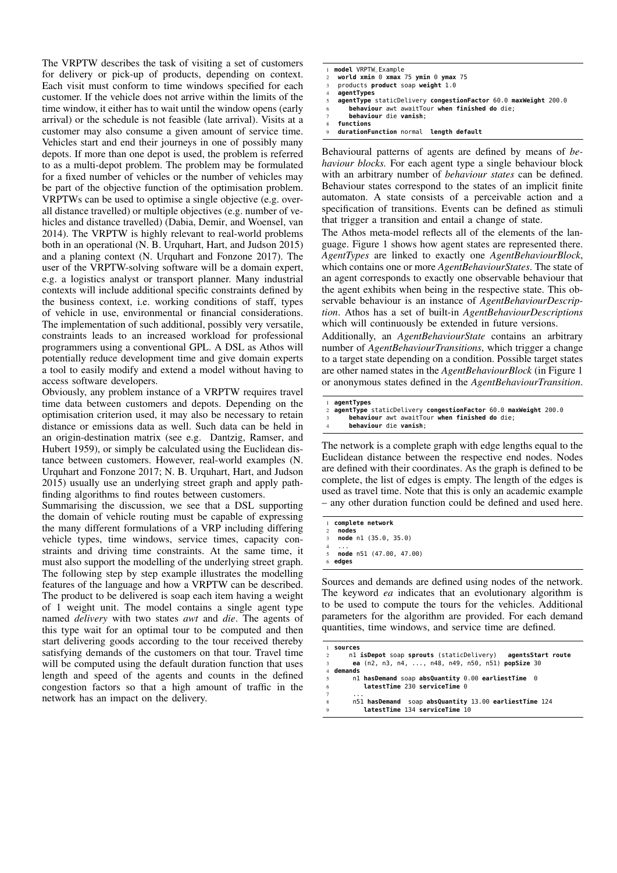The VRPTW describes the task of visiting a set of customers for delivery or pick-up of products, depending on context. Each visit must conform to time windows specified for each customer. If the vehicle does not arrive within the limits of the time window, it either has to wait until the window opens (early arrival) or the schedule is not feasible (late arrival). Visits at a customer may also consume a given amount of service time. Vehicles start and end their journeys in one of possibly many depots. If more than one depot is used, the problem is referred to as a multi-depot problem. The problem may be formulated for a fixed number of vehicles or the number of vehicles may be part of the objective function of the optimisation problem. VRPTWs can be used to optimise a single objective (e.g. overall distance travelled) or multiple objectives (e.g. number of vehicles and distance travelled) (Dabia, Demir, and Woensel, van 2014). The VRPTW is highly relevant to real-world problems both in an operational (N. B. Urquhart, Hart, and Judson 2015) and a planing context (N. Urquhart and Fonzone 2017). The user of the VRPTW-solving software will be a domain expert, e.g. a logistics analyst or transport planner. Many industrial contexts will include additional specific constraints defined by the business context, i.e. working conditions of staff, types of vehicle in use, environmental or financial considerations. The implementation of such additional, possibly very versatile, constraints leads to an increased workload for professional programmers using a conventional GPL. A DSL as Athos will potentially reduce development time and give domain experts a tool to easily modify and extend a model without having to access software developers.

Obviously, any problem instance of a VRPTW requires travel time data between customers and depots. Depending on the optimisation criterion used, it may also be necessary to retain distance or emissions data as well. Such data can be held in an origin-destination matrix (see e.g. Dantzig, Ramser, and Hubert 1959), or simply be calculated using the Euclidean distance between customers. However, real-world examples (N. Urquhart and Fonzone 2017; N. B. Urquhart, Hart, and Judson 2015) usually use an underlying street graph and apply pathfinding algorithms to find routes between customers.

Summarising the discussion, we see that a DSL supporting the domain of vehicle routing must be capable of expressing the many different formulations of a VRP including differing vehicle types, time windows, service times, capacity constraints and driving time constraints. At the same time, it must also support the modelling of the underlying street graph. The following step by step example illustrates the modelling features of the language and how a VRPTW can be described. The product to be delivered is soap each item having a weight of 1 weight unit. The model contains a single agent type named *delivery* with two states *awt* and *die*. The agents of this type wait for an optimal tour to be computed and then start delivering goods according to the tour received thereby satisfying demands of the customers on that tour. Travel time will be computed using the default duration function that uses length and speed of the agents and counts in the defined congestion factors so that a high amount of traffic in the network has an impact on the delivery.

```
1 model VRPTW_Example
2 world xmin 0 xmax 75 ymin 0 ymax 75
   3 products product soap weight 1.0
   4 agentTypes
   5 agentType staticDelivery congestionFactor 60.0 maxWeight 200.0
      6 behaviour awt awaitTour when finished do die;
      7 behaviour die vanish;
   8 functions
   9 durationFunction normal length default
```
Behavioural patterns of agents are defined by means of *behaviour blocks.* For each agent type a single behaviour block with an arbitrary number of *behaviour states* can be defined. Behaviour states correspond to the states of an implicit finite automaton. A state consists of a perceivable action and a specification of transitions. Events can be defined as stimuli that trigger a transition and entail a change of state.

The Athos meta-model reflects all of the elements of the language. Figure 1 shows how agent states are represented there. *AgentTypes* are linked to exactly one *AgentBehaviourBlock*, which contains one or more *AgentBehaviourStates*. The state of an agent corresponds to exactly one observable behaviour that the agent exhibits when being in the respective state. This observable behaviour is an instance of *AgentBehaviourDescription*. Athos has a set of built-in *AgentBehaviourDescriptions* which will continuously be extended in future versions.

Additionally, an *AgentBehaviourState* contains an arbitrary number of *AgentBehaviourTransitions*, which trigger a change to a target state depending on a condition. Possible target states are other named states in the *AgentBehaviourBlock* (in Figure 1 or anonymous states defined in the *AgentBehaviourTransition*.

```
1 agentTypes
```

```
2 agentType staticDelivery congestionFactor 60.0 maxWeight 200.0
```

```
3 behaviour awt awaitTour when finished do die;
4 behaviour die vanish;
```
The network is a complete graph with edge lengths equal to the Euclidean distance between the respective end nodes. Nodes are defined with their coordinates. As the graph is defined to be complete, the list of edges is empty. The length of the edges is used as travel time. Note that this is only an academic example – any other duration function could be defined and used here.

```
1 complete network
   2 nodes
   3 node n1 (35.0, 35.0)
4 ...
5 node n51 (47.00, 47.00)
6 edges
```
Sources and demands are defined using nodes of the network. The keyword *ea* indicates that an evolutionary algorithm is to be used to compute the tours for the vehicles. Additional parameters for the algorithm are provided. For each demand quantities, time windows, and service time are defined.

```
1 sources
     2 n1 isDepot soap sprouts (staticDelivery) agentsStart route
       3 ea (n2, n3, n4, ..., n48, n49, n50, n51) popSize 30
 4 demands
      5 n1 hasDemand soap absQuantity 0.00 earliestTime 0
          6 latestTime 230 serviceTime 0
7 ...
       8 n51 hasDemand soap absQuantity 13.00 earliestTime 124
          9 latestTime 134 serviceTime 10
```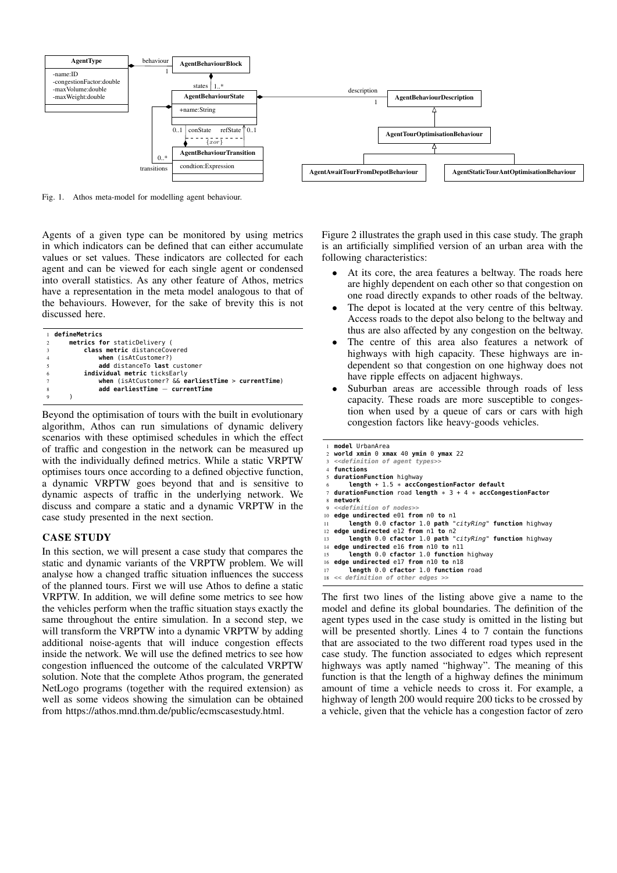

Fig. 1. Athos meta-model for modelling agent behaviour.

Agents of a given type can be monitored by using metrics in which indicators can be defined that can either accumulate values or set values. These indicators are collected for each agent and can be viewed for each single agent or condensed into overall statistics. As any other feature of Athos, metrics have a representation in the meta model analogous to that of the behaviours. However, for the sake of brevity this is not discussed here.

|                | defineMetrics                                                          |
|----------------|------------------------------------------------------------------------|
| $\mathfrak{D}$ | metrics for staticDelivery (                                           |
|                | class metric distanceCovered                                           |
|                | when (isAtCustomer?)                                                   |
|                | add distanceTo last customer                                           |
| 6              | individual metric ticksEarly                                           |
|                | when $(isAtCustomer? & earlier)$ and $s$ earliest Time > current Time) |
| 8              | $add$ earliest $Time - currentTime$                                    |
|                |                                                                        |

Beyond the optimisation of tours with the built in evolutionary algorithm, Athos can run simulations of dynamic delivery scenarios with these optimised schedules in which the effect of traffic and congestion in the network can be measured up with the individually defined metrics. While a static VRPTW optimises tours once according to a defined objective function, a dynamic VRPTW goes beyond that and is sensitive to dynamic aspects of traffic in the underlying network. We discuss and compare a static and a dynamic VRPTW in the case study presented in the next section.

#### CASE STUDY

In this section, we will present a case study that compares the static and dynamic variants of the VRPTW problem. We will analyse how a changed traffic situation influences the success of the planned tours. First we will use Athos to define a static VRPTW. In addition, we will define some metrics to see how the vehicles perform when the traffic situation stays exactly the same throughout the entire simulation. In a second step, we will transform the VRPTW into a dynamic VRPTW by adding additional noise-agents that will induce congestion effects inside the network. We will use the defined metrics to see how congestion influenced the outcome of the calculated VRPTW solution. Note that the complete Athos program, the generated NetLogo programs (together with the required extension) as well as some videos showing the simulation can be obtained from https://athos.mnd.thm.de/public/ecmscasestudy.html.

Figure 2 illustrates the graph used in this case study. The graph is an artificially simplified version of an urban area with the following characteristics:

- At its core, the area features a beltway. The roads here are highly dependent on each other so that congestion on one road directly expands to other roads of the beltway.
- The depot is located at the very centre of this beltway. Access roads to the depot also belong to the beltway and thus are also affected by any congestion on the beltway.
- The centre of this area also features a network of highways with high capacity. These highways are independent so that congestion on one highway does not have ripple effects on adjacent highways.
- Suburban areas are accessible through roads of less capacity. These roads are more susceptible to congestion when used by a queue of cars or cars with high congestion factors like heavy-goods vehicles.

```
1 model UrbanArea
  2 world xmin 0 xmax 40 ymin 0 ymax 22
   3 <<definition of agent types>>
  4 functions
  5 durationFunction highway
      6 length + 1.5 ∗ accCongestionFactor default
  7 durationFunction road length ∗ 3 + 4 ∗ accCongestionFactor
  8 network
   9 <<definition of nodes>>
10 edge undirected e01 from n0 to n1
11 length 0.0 cfactor 1.0 path "cityRing" function highway
  12 edge undirected e12 from n1 to n2
13 length 0.0 cfactor 1.0 path "cityRing" function highway
  14 edge undirected e16 from n10 to n11
15 length 0.0 cfactor 1.0 function highway
16 edge undirected e17 from n10 to n18
17 length 0.0 cfactor 1.0 function road
```
18 **<< definition of other edges >>**

The first two lines of the listing above give a name to the model and define its global boundaries. The definition of the agent types used in the case study is omitted in the listing but will be presented shortly. Lines 4 to 7 contain the functions that are associated to the two different road types used in the case study. The function associated to edges which represent highways was aptly named "highway". The meaning of this function is that the length of a highway defines the minimum amount of time a vehicle needs to cross it. For example, a highway of length 200 would require 200 ticks to be crossed by a vehicle, given that the vehicle has a congestion factor of zero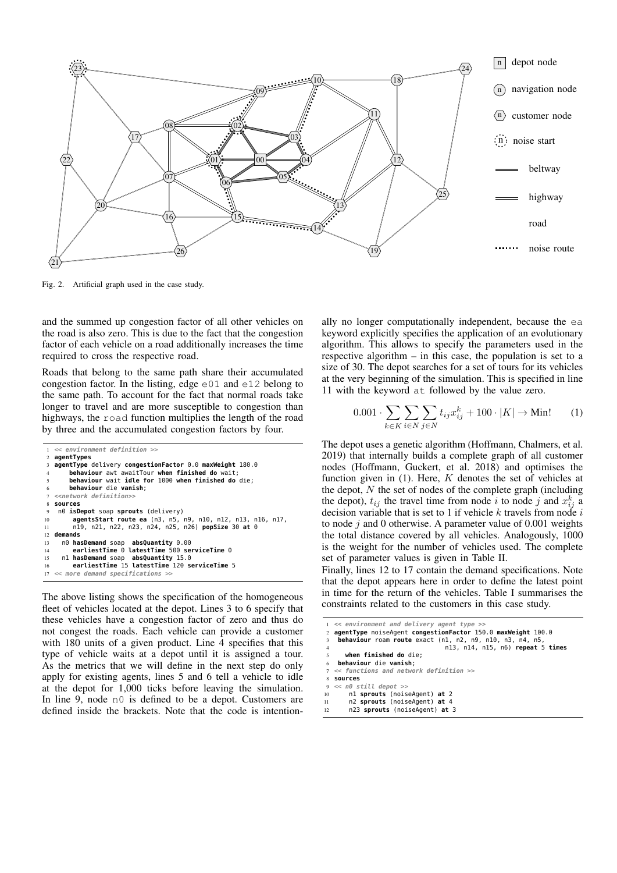

Fig. 2. Artificial graph used in the case study.

and the summed up congestion factor of all other vehicles on the road is also zero. This is due to the fact that the congestion factor of each vehicle on a road additionally increases the time required to cross the respective road.

Roads that belong to the same path share their accumulated congestion factor. In the listing, edge  $\epsilon$  01 and  $\epsilon$ 12 belong to the same path. To account for the fact that normal roads take longer to travel and are more susceptible to congestion than highways, the road function multiplies the length of the road by three and the accumulated congestion factors by four.

```
1 << environment definition >>
   2 agentTypes
   3 agentType delivery congestionFactor 0.0 maxWeight 180.0
       4 behaviour awt awaitTour when finished do wait;
        5 behaviour wait idle for 1000 when finished do die;
       6 behaviour die vanish;
   7 <<network definition>>
8 sources
    9 n0 isDepot soap sprouts (delivery)
10 agentsStart route ea (n3, n5, n9, n10, n12, n13, n16, n17,
11 n19, n21, n22, n23, n24, n25, n26) popSize 30 at 0
12 demands
13 n0 hasDemand soap absQuantity 0.00
14 earliestTime 0 latestTime 500 serviceTime 0
15 n1 hasDemand soap absQuantity 15.0
16 earliestTime 15 latestTime 120 serviceTime 5
17 << more demand specifications >>
```
The above listing shows the specification of the homogeneous fleet of vehicles located at the depot. Lines 3 to 6 specify that these vehicles have a congestion factor of zero and thus do not congest the roads. Each vehicle can provide a customer with 180 units of a given product. Line 4 specifies that this type of vehicle waits at a depot until it is assigned a tour. As the metrics that we will define in the next step do only apply for existing agents, lines 5 and 6 tell a vehicle to idle at the depot for 1,000 ticks before leaving the simulation. In line 9, node n0 is defined to be a depot. Customers are defined inside the brackets. Note that the code is intentionally no longer computationally independent, because the ea keyword explicitly specifies the application of an evolutionary algorithm. This allows to specify the parameters used in the respective algorithm – in this case, the population is set to a size of 30. The depot searches for a set of tours for its vehicles at the very beginning of the simulation. This is specified in line 11 with the keyword at followed by the value zero.

$$
0.001 \cdot \sum_{k \in K} \sum_{i \in N} \sum_{j \in N} t_{ij} x_{ij}^k + 100 \cdot |K| \to \text{Min!} \tag{1}
$$

The depot uses a genetic algorithm (Hoffmann, Chalmers, et al. 2019) that internally builds a complete graph of all customer nodes (Hoffmann, Guckert, et al. 2018) and optimises the function given in  $(1)$ . Here, K denotes the set of vehicles at the depot,  $N$  the set of nodes of the complete graph (including the depot),  $t_{ij}$  the travel time from node i to node j and  $x_{ij}^k$  a decision variable that is set to 1 if vehicle  $k$  travels from node  $i$ to node  $j$  and 0 otherwise. A parameter value of 0.001 weights the total distance covered by all vehicles. Analogously, 1000 is the weight for the number of vehicles used. The complete set of parameter values is given in Table II.

Finally, lines 12 to 17 contain the demand specifications. Note that the depot appears here in order to define the latest point in time for the return of the vehicles. Table I summarises the constraints related to the customers in this case study.

```
1 << environment and delivery agent type >>
2 agentType noiseAgent congestionFactor 150.0 maxWeight 100.0
    3 behaviour roam route exact (n1, n2, n9, n10, n3, n4, n5,
                                        4 n13, n14, n15, n6) repeat 5 times
       5 when finished do die;
    6 behaviour die vanish;
   7 << functions and network definition >>
8 sources
   9 << n0 still depot >>
10 n1 sprouts (noiseAgent) at 2
11 n2 sprouts (noiseAgent) at 4
12 n23 sprouts (noiseAgent) at 3
```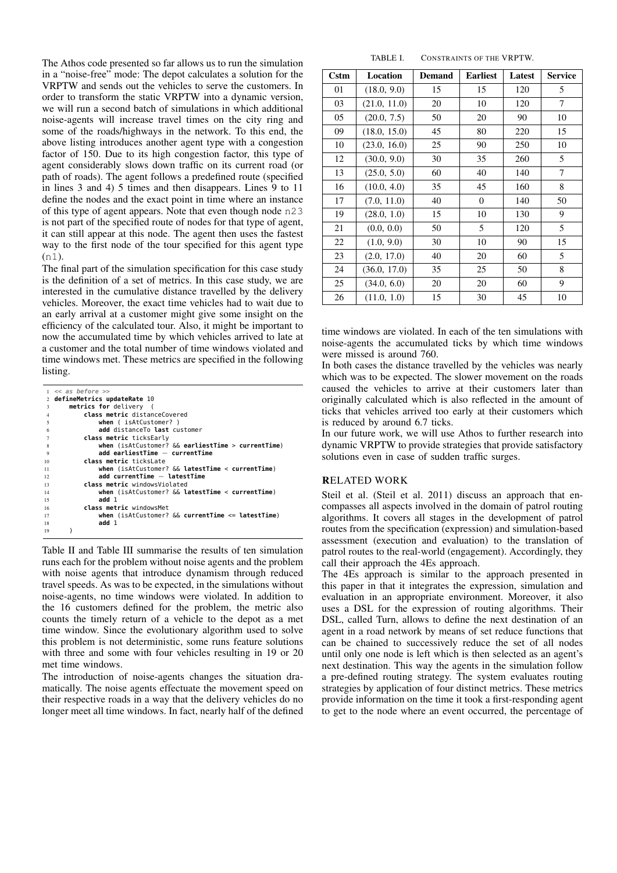The Athos code presented so far allows us to run the simulation in a "noise-free" mode: The depot calculates a solution for the VRPTW and sends out the vehicles to serve the customers. In order to transform the static VRPTW into a dynamic version, we will run a second batch of simulations in which additional noise-agents will increase travel times on the city ring and some of the roads/highways in the network. To this end, the above listing introduces another agent type with a congestion factor of 150. Due to its high congestion factor, this type of agent considerably slows down traffic on its current road (or path of roads). The agent follows a predefined route (specified in lines 3 and 4) 5 times and then disappears. Lines 9 to 11 define the nodes and the exact point in time where an instance of this type of agent appears. Note that even though node n23 is not part of the specified route of nodes for that type of agent, it can still appear at this node. The agent then uses the fastest way to the first node of the tour specified for this agent type (n1).

The final part of the simulation specification for this case study is the definition of a set of metrics. In this case study, we are interested in the cumulative distance travelled by the delivery vehicles. Moreover, the exact time vehicles had to wait due to an early arrival at a customer might give some insight on the efficiency of the calculated tour. Also, it might be important to now the accumulated time by which vehicles arrived to late at a customer and the total number of time windows violated and time windows met. These metrics are specified in the following listing.

|                | $1 \leq a s$ before $\gg$                          |
|----------------|----------------------------------------------------|
|                | 2 defineMetrics updateRate 10                      |
| 3              | metrics for delivery (                             |
| $\overline{4}$ | class metric distanceCovered                       |
| 5              | when ( isAtCustomer? )                             |
| 6              | add distanceTo last customer                       |
| 7              | class metric ticksEarly                            |
| 8              | when (isAtCustomer? && earliestTime > currentTime) |
| 9              | add earliestTime — currentTime                     |
| 10             | class metric ticksLate                             |
| 11             | when (isAtCustomer? && latestTime < currentTime)   |
| 12             | add currentTime - latestTime                       |
| 13             | class metric windowsViolated                       |
| 14             | when $(isAtCustomer? & lastTime < currentTime)$    |
| 15             | add 1                                              |
| 16             | class metric windowsMet                            |
| 17             | when (isAtCustomer? && currentTime <= latestTime)  |
| 18             | add 1                                              |
| 19             |                                                    |

Table II and Table III summarise the results of ten simulation runs each for the problem without noise agents and the problem with noise agents that introduce dynamism through reduced travel speeds. As was to be expected, in the simulations without noise-agents, no time windows were violated. In addition to the 16 customers defined for the problem, the metric also counts the timely return of a vehicle to the depot as a met time window. Since the evolutionary algorithm used to solve this problem is not deterministic, some runs feature solutions with three and some with four vehicles resulting in 19 or 20 met time windows.

The introduction of noise-agents changes the situation dramatically. The noise agents effectuate the movement speed on their respective roads in a way that the delivery vehicles do no longer meet all time windows. In fact, nearly half of the defined

TABLE I. CONSTRAINTS OF THE VRPTW.

| <b>Cstm</b> | Location     | <b>Demand</b> | <b>Earliest</b> | Latest | <b>Service</b> |  |
|-------------|--------------|---------------|-----------------|--------|----------------|--|
| 01          | (18.0, 9.0)  | 15            | 15              | 120    | 5              |  |
| 03          | (21.0, 11.0) | 20            | 10              | 120    | 7              |  |
| 05          | (20.0, 7.5)  | 50            | 20              | 90     | 10             |  |
| 09          | (18.0, 15.0) | 45            | 80              | 220    | 15             |  |
| 10          | (23.0, 16.0) | 25            | 90              | 250    | 10             |  |
| 12          | (30.0, 9.0)  | 30            | 35              | 260    | 5              |  |
| 13          | (25.0, 5.0)  | 60            | 40              | 140    | 7              |  |
| 16          | (10.0, 4.0)  | 35            | 45              | 160    | 8              |  |
| 17          | (7.0, 11.0)  | 40            | $\overline{0}$  | 140    | 50             |  |
| 19          | (28.0, 1.0)  | 15            | 10              | 130    | 9              |  |
| 21          | (0.0, 0.0)   | 50            | 5               | 120    | 5              |  |
| 22          | (1.0, 9.0)   | 30            | 10              | 90     | 15             |  |
| 23          | (2.0, 17.0)  | 40            | 20              | 60     | 5              |  |
| 24          | (36.0, 17.0) | 35            | 25              | 50     | 8              |  |
| 25          | (34.0, 6.0)  | 20            | 20              | 60     | 9              |  |
| 26          | (11.0, 1.0)  | 15            | 30              | 45     | 10             |  |

time windows are violated. In each of the ten simulations with noise-agents the accumulated ticks by which time windows were missed is around 760.

In both cases the distance travelled by the vehicles was nearly which was to be expected. The slower movement on the roads caused the vehicles to arrive at their customers later than originally calculated which is also reflected in the amount of ticks that vehicles arrived too early at their customers which is reduced by around 6.7 ticks.

In our future work, we will use Athos to further research into dynamic VRPTW to provide strategies that provide satisfactory solutions even in case of sudden traffic surges.

#### RELATED WORK

Steil et al. (Steil et al. 2011) discuss an approach that encompasses all aspects involved in the domain of patrol routing algorithms. It covers all stages in the development of patrol routes from the specification (expression) and simulation-based assessment (execution and evaluation) to the translation of patrol routes to the real-world (engagement). Accordingly, they call their approach the 4Es approach.

The 4Es approach is similar to the approach presented in this paper in that it integrates the expression, simulation and evaluation in an appropriate environment. Moreover, it also uses a DSL for the expression of routing algorithms. Their DSL, called Turn, allows to define the next destination of an agent in a road network by means of set reduce functions that can be chained to successively reduce the set of all nodes until only one node is left which is then selected as an agent's next destination. This way the agents in the simulation follow a pre-defined routing strategy. The system evaluates routing strategies by application of four distinct metrics. These metrics provide information on the time it took a first-responding agent to get to the node where an event occurred, the percentage of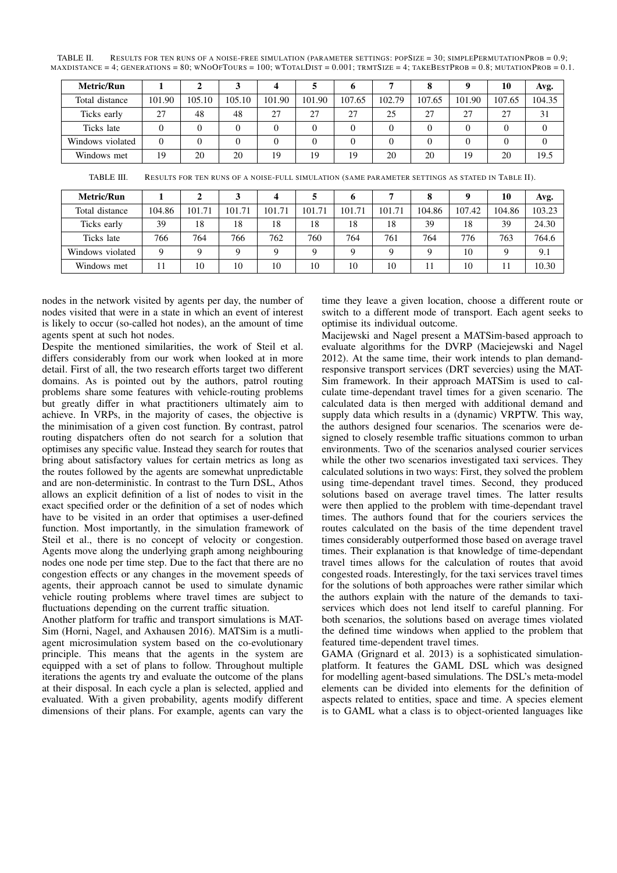TABLE II. RESULTS FOR TEN RUNS OF A NOISE-FREE SIMULATION (PARAMETER SETTINGS: POPSIZE = 30; SIMPLEPERMUTATIONPROB = 0.9;  $MAXDISTANCE = 4$ ; GENERATIONS = 80; WNOOFTOURS = 100; WTOTALDIST = 0.001; TRMTSIZE = 4; TAKEBESTPROB = 0.8; MUTATIONPROB = 0.1.

| <b>Metric/Run</b> |          |        |        |        |          |        |        | 8      |        | 10     | Avg.   |
|-------------------|----------|--------|--------|--------|----------|--------|--------|--------|--------|--------|--------|
| Total distance    | 101.90   | 105.10 | 105.10 | 101.90 | 101.90   | 107.65 | 102.79 | 107.65 | 101.90 | 107.65 | 104.35 |
| Ticks early       | 27       | 48     | 48     | 27     | 27       | 27     | 25     | 27     | 27     | 27     | 31     |
| Ticks late        |          |        |        |        | $\Omega$ |        |        |        |        |        |        |
| Windows violated  | $\theta$ |        |        |        | $\Omega$ |        |        |        |        |        |        |
| Windows met       | 19       | 20     | 20     | 19     | 19       | 19     | 20     | 20     | 19     | 20     | 19.5   |

TABLE III. RESULTS FOR TEN RUNS OF A NOISE-FULL SIMULATION (SAME PARAMETER SETTINGS AS STATED IN TABLE II).

| <b>Metric/Run</b> |          |        |        | 4      |        | o      |        |        |        | 10     | Avg.   |
|-------------------|----------|--------|--------|--------|--------|--------|--------|--------|--------|--------|--------|
| Total distance    | 104.86   | 101.71 | 101.71 | 101.71 | 101.71 | 101.71 | 101.71 | 104.86 | 107.42 | 104.86 | 103.23 |
| Ticks early       | 39       | 18     | 18     | 18     | 18     | 18     | 18     | 39     | 18     | 39     | 24.30  |
| Ticks late        | 766      | 764    | 766    | 762    | 760    | 764    | 761    | 764    | 776    | 763    | 764.6  |
| Windows violated  | $\Omega$ |        | Q      | Q      |        |        |        |        | 10     |        | 9.1    |
| Windows met       |          | 10     | 10     | 10     | 10     | 10     | 10     | 1      | 10     |        | 10.30  |

nodes in the network visited by agents per day, the number of nodes visited that were in a state in which an event of interest is likely to occur (so-called hot nodes), an the amount of time agents spent at such hot nodes.

Despite the mentioned similarities, the work of Steil et al. differs considerably from our work when looked at in more detail. First of all, the two research efforts target two different domains. As is pointed out by the authors, patrol routing problems share some features with vehicle-routing problems but greatly differ in what practitioners ultimately aim to achieve. In VRPs, in the majority of cases, the objective is the minimisation of a given cost function. By contrast, patrol routing dispatchers often do not search for a solution that optimises any specific value. Instead they search for routes that bring about satisfactory values for certain metrics as long as the routes followed by the agents are somewhat unpredictable and are non-deterministic. In contrast to the Turn DSL, Athos allows an explicit definition of a list of nodes to visit in the exact specified order or the definition of a set of nodes which have to be visited in an order that optimises a user-defined function. Most importantly, in the simulation framework of Steil et al., there is no concept of velocity or congestion. Agents move along the underlying graph among neighbouring nodes one node per time step. Due to the fact that there are no congestion effects or any changes in the movement speeds of agents, their approach cannot be used to simulate dynamic vehicle routing problems where travel times are subject to fluctuations depending on the current traffic situation.

Another platform for traffic and transport simulations is MAT-Sim (Horni, Nagel, and Axhausen 2016). MATSim is a mutliagent microsimulation system based on the co-evolutionary principle. This means that the agents in the system are equipped with a set of plans to follow. Throughout multiple iterations the agents try and evaluate the outcome of the plans at their disposal. In each cycle a plan is selected, applied and evaluated. With a given probability, agents modify different dimensions of their plans. For example, agents can vary the time they leave a given location, choose a different route or switch to a different mode of transport. Each agent seeks to optimise its individual outcome.

Macijewski and Nagel present a MATSim-based approach to evaluate algorithms for the DVRP (Maciejewski and Nagel 2012). At the same time, their work intends to plan demandresponsive transport services (DRT severcies) using the MAT-Sim framework. In their approach MATSim is used to calculate time-dependant travel times for a given scenario. The calculated data is then merged with additional demand and supply data which results in a (dynamic) VRPTW. This way, the authors designed four scenarios. The scenarios were designed to closely resemble traffic situations common to urban environments. Two of the scenarios analysed courier services while the other two scenarios investigated taxi services. They calculated solutions in two ways: First, they solved the problem using time-dependant travel times. Second, they produced solutions based on average travel times. The latter results were then applied to the problem with time-dependant travel times. The authors found that for the couriers services the routes calculated on the basis of the time dependent travel times considerably outperformed those based on average travel times. Their explanation is that knowledge of time-dependant travel times allows for the calculation of routes that avoid congested roads. Interestingly, for the taxi services travel times for the solutions of both approaches were rather similar which the authors explain with the nature of the demands to taxiservices which does not lend itself to careful planning. For both scenarios, the solutions based on average times violated the defined time windows when applied to the problem that featured time-dependent travel times.

GAMA (Grignard et al. 2013) is a sophisticated simulationplatform. It features the GAML DSL which was designed for modelling agent-based simulations. The DSL's meta-model elements can be divided into elements for the definition of aspects related to entities, space and time. A species element is to GAML what a class is to object-oriented languages like